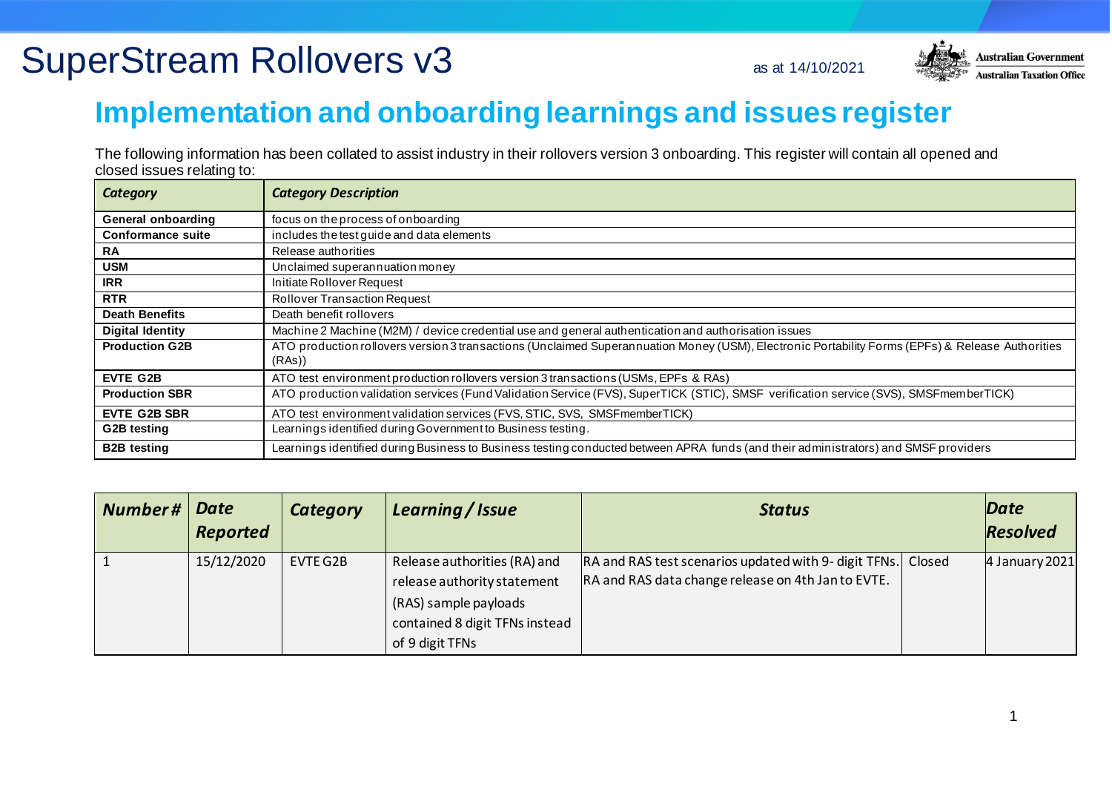

#### **Implementation and onboarding learnings and issues register**

The following information has been collated to assist industry in their rollovers version 3 onboarding. This register will contain all opened and closed issues relating to:

| Category                  | <b>Category Description</b>                                                                                                                               |
|---------------------------|-----------------------------------------------------------------------------------------------------------------------------------------------------------|
| <b>General onboarding</b> | focus on the process of onboarding                                                                                                                        |
| <b>Conformance suite</b>  | includes the test guide and data elements                                                                                                                 |
| <b>RA</b>                 | Release authorities                                                                                                                                       |
| <b>USM</b>                | Unclaimed superannuation money                                                                                                                            |
| <b>IRR</b>                | Initiate Rollover Request                                                                                                                                 |
| <b>RTR</b>                | <b>Rollover Transaction Request</b>                                                                                                                       |
| <b>Death Benefits</b>     | Death benefit rollovers                                                                                                                                   |
| <b>Digital Identity</b>   | Machine 2 Machine (M2M) / device credential use and general authentication and authorisation issues                                                       |
| <b>Production G2B</b>     | ATO production rollovers version 3 transactions (Unclaimed Superannuation Money (USM), Electronic Portability Forms (EPFs) & Release Authorities<br>(RAs) |
| <b>EVTE G2B</b>           | ATO test environment production rollovers version 3 transactions (USMs, EPFs & RAs)                                                                       |
| <b>Production SBR</b>     | ATO production validation services (Fund Validation Service (FVS), SuperTICK (STIC), SMSF verification service (SVS), SMSFmemberTICK)                     |
| <b>EVTE G2B SBR</b>       | ATO test environment validation services (FVS, STIC, SVS, SMSF member TICK)                                                                               |
| G2B testing               | Learnings identified during Government to Business testing.                                                                                               |
| <b>B2B testing</b>        | Learnings identified during Business to Business testing conducted between APRA funds (and their administrators) and SMSF providers                       |

| Number# | Date<br><b>Reported</b> | <b>Category</b> | Learning / Issue                                                                                                                          | <b>Status</b>                                                                                                      | Date<br><b>Resolved</b> |
|---------|-------------------------|-----------------|-------------------------------------------------------------------------------------------------------------------------------------------|--------------------------------------------------------------------------------------------------------------------|-------------------------|
|         | 15/12/2020              | EVTE G2B        | Release authorities (RA) and<br>release authority statement<br>(RAS) sample payloads<br>contained 8 digit TFNs instead<br>of 9 digit TFNs | RA and RAS test scenarios updated with 9- digit TFNs. Closed<br>RA and RAS data change release on 4th Jan to EVTE. | 4 January 2021          |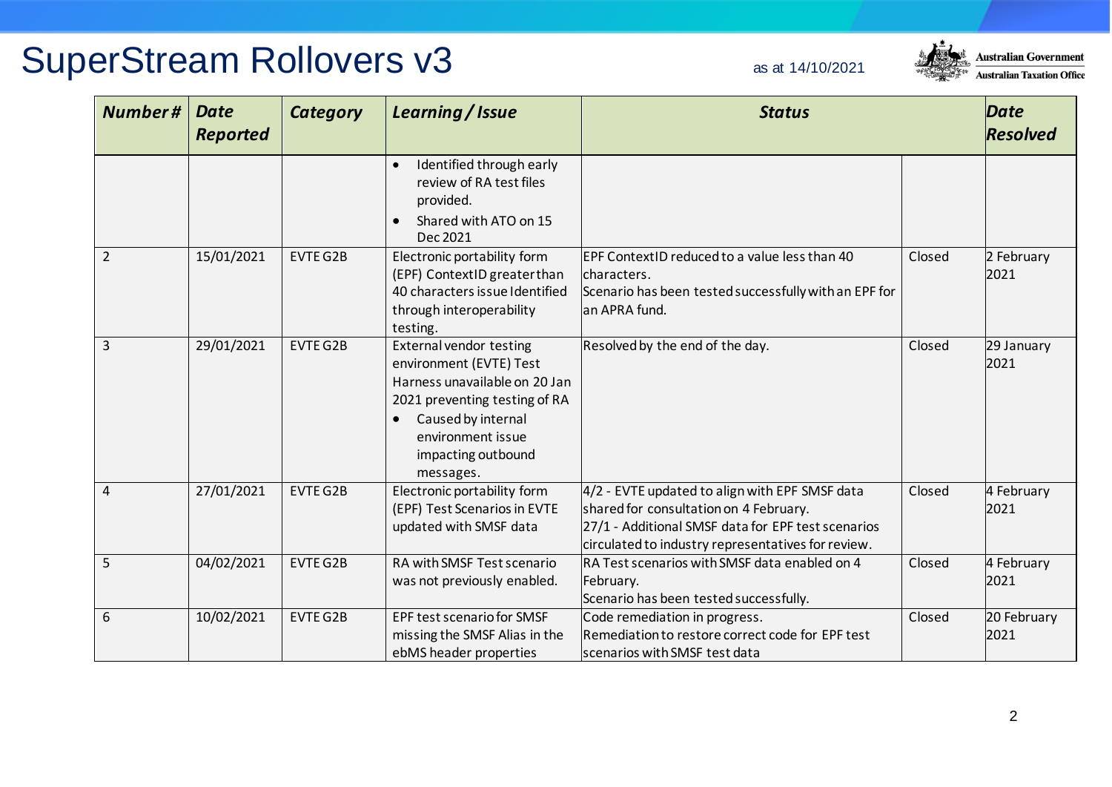

| Number#        | <b>Date</b><br><b>Reported</b> | <b>Category</b> | Learning / Issue                                                                                                                                                                                          | <b>Status</b>                                                                                                                                                                                        |        | <b>Date</b><br><b>Resolved</b> |
|----------------|--------------------------------|-----------------|-----------------------------------------------------------------------------------------------------------------------------------------------------------------------------------------------------------|------------------------------------------------------------------------------------------------------------------------------------------------------------------------------------------------------|--------|--------------------------------|
|                |                                |                 | Identified through early<br>review of RA test files<br>provided.<br>Shared with ATO on 15<br>Dec 2021                                                                                                     |                                                                                                                                                                                                      |        |                                |
| $\overline{2}$ | 15/01/2021                     | <b>EVTE G2B</b> | Electronic portability form<br>(EPF) ContextID greater than<br>40 characters issue Identified<br>through interoperability<br>testing.                                                                     | EPF ContextID reduced to a value less than 40<br>characters.<br>Scenario has been tested successfully with an EPF for<br>an APRA fund.                                                               | Closed | 2 February<br>2021             |
| $\overline{3}$ | 29/01/2021                     | <b>EVTE G2B</b> | <b>External vendor testing</b><br>environment (EVTE) Test<br>Harness unavailable on 20 Jan<br>2021 preventing testing of RA<br>Caused by internal<br>environment issue<br>impacting outbound<br>messages. | Resolved by the end of the day.                                                                                                                                                                      | Closed | 29 January<br>2021             |
| 4              | 27/01/2021                     | <b>EVTE G2B</b> | Electronic portability form<br>(EPF) Test Scenarios in EVTE<br>updated with SMSF data                                                                                                                     | 4/2 - EVTE updated to align with EPF SMSF data<br>shared for consultation on 4 February.<br>27/1 - Additional SMSF data for EPF test scenarios<br>circulated to industry representatives for review. | Closed | 4 February<br>2021             |
| 5              | 04/02/2021                     | <b>EVTE G2B</b> | RA with SMSF Test scenario<br>was not previously enabled.                                                                                                                                                 | RA Test scenarios with SMSF data enabled on 4<br>February.<br>Scenario has been tested successfully.                                                                                                 | Closed | 4 February<br>2021             |
| 6              | 10/02/2021                     | <b>EVTE G2B</b> | <b>EPF test scenario for SMSF</b><br>missing the SMSF Alias in the<br>ebMS header properties                                                                                                              | Code remediation in progress.<br>Remediation to restore correct code for EPF test<br>scenarios with SMSF test data                                                                                   | Closed | 20 February<br>2021            |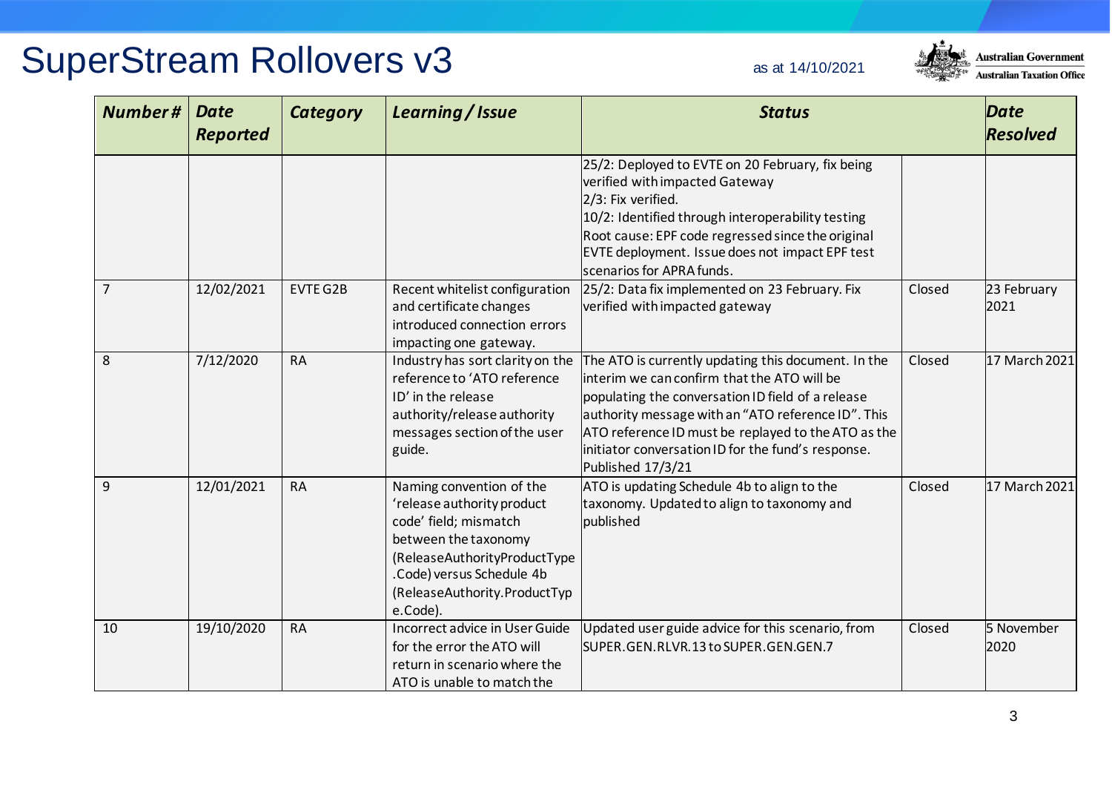

| Number#        | <b>Date</b><br><b>Reported</b> | <b>Category</b> | Learning / Issue                                                                                                                                                                                                 | <b>Status</b>                                                                                                                                                                                                                                                                                                                                    |        | <b>Date</b><br><b>Resolved</b> |
|----------------|--------------------------------|-----------------|------------------------------------------------------------------------------------------------------------------------------------------------------------------------------------------------------------------|--------------------------------------------------------------------------------------------------------------------------------------------------------------------------------------------------------------------------------------------------------------------------------------------------------------------------------------------------|--------|--------------------------------|
|                |                                |                 |                                                                                                                                                                                                                  | 25/2: Deployed to EVTE on 20 February, fix being<br>verified with impacted Gateway<br>2/3: Fix verified.<br>10/2: Identified through interoperability testing<br>Root cause: EPF code regressed since the original<br>EVTE deployment. Issue does not impact EPF test<br>scenarios for APRA funds.                                               |        |                                |
| $\overline{7}$ | 12/02/2021                     | <b>EVTE G2B</b> | Recent whitelist configuration<br>and certificate changes<br>introduced connection errors<br>impacting one gateway.                                                                                              | 25/2: Data fix implemented on 23 February. Fix<br>verified with impacted gateway                                                                                                                                                                                                                                                                 | Closed | 23 February<br>2021            |
| 8              | 7/12/2020                      | <b>RA</b>       | Industry has sort clarity on the<br>reference to 'ATO reference<br>ID' in the release<br>authority/release authority<br>messages section of the user<br>guide.                                                   | The ATO is currently updating this document. In the<br>linterim we can confirm that the ATO will be<br>populating the conversation ID field of a release<br>authority message with an "ATO reference ID". This<br>ATO reference ID must be replayed to the ATO as the<br>initiator conversation ID for the fund's response.<br>Published 17/3/21 | Closed | 17 March 2021                  |
| 9              | 12/01/2021                     | <b>RA</b>       | Naming convention of the<br>'release authority product<br>code' field; mismatch<br>between the taxonomy<br>(ReleaseAuthorityProductType<br>.Code) versus Schedule 4b<br>(ReleaseAuthority.ProductTyp<br>e.Code). | ATO is updating Schedule 4b to align to the<br>taxonomy. Updated to align to taxonomy and<br>published                                                                                                                                                                                                                                           | Closed | 17 March 2021                  |
| 10             | 19/10/2020                     | <b>RA</b>       | <b>Incorrect advice in User Guide</b><br>for the error the ATO will<br>return in scenario where the<br>ATO is unable to match the                                                                                | Updated user guide advice for this scenario, from<br>SUPER.GEN.RLVR.13 to SUPER.GEN.GEN.7                                                                                                                                                                                                                                                        | Closed | 5 November<br>2020             |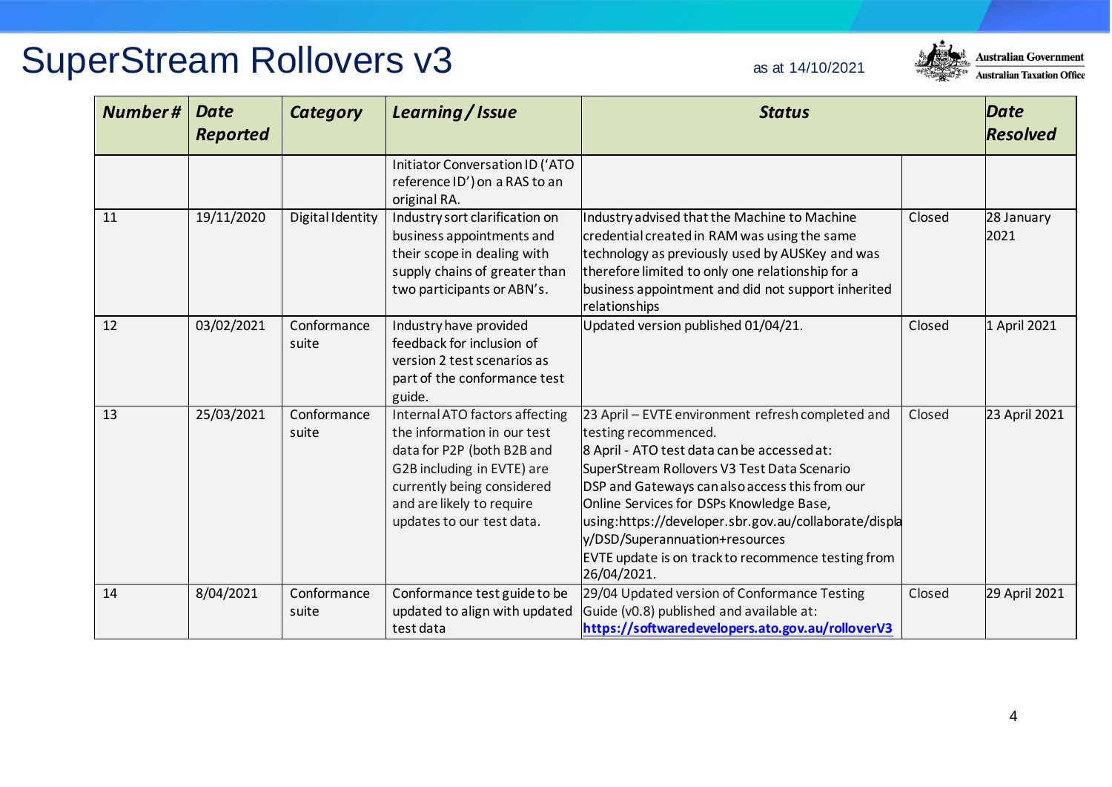

| Number# | <b>Date</b><br><b>Reported</b> | <b>Category</b>         | Learning / Issue                                                                                                                                                                                                  | <b>Status</b>                                                                                                                                                                                                                                                                                                                                                                                                                         |        | <b>Date</b><br><b>Resolved</b> |
|---------|--------------------------------|-------------------------|-------------------------------------------------------------------------------------------------------------------------------------------------------------------------------------------------------------------|---------------------------------------------------------------------------------------------------------------------------------------------------------------------------------------------------------------------------------------------------------------------------------------------------------------------------------------------------------------------------------------------------------------------------------------|--------|--------------------------------|
|         |                                |                         | Initiator Conversation ID ('ATO<br>reference ID') on a RAS to an<br>original RA.                                                                                                                                  |                                                                                                                                                                                                                                                                                                                                                                                                                                       |        |                                |
| 11      | 19/11/2020                     | <b>Digital Identity</b> | Industry sort clarification on<br>business appointments and<br>their scope in dealing with<br>supply chains of greater than<br>two participants or ABN's.                                                         | Industry advised that the Machine to Machine<br>credential created in RAM was using the same<br>technology as previously used by AUSKey and was<br>therefore limited to only one relationship for a<br>business appointment and did not support inherited<br>relationships                                                                                                                                                            | Closed | 28 January<br>2021             |
| 12      | 03/02/2021                     | Conformance<br>suite    | Industry have provided<br>feedback for inclusion of<br>version 2 test scenarios as<br>part of the conformance test<br>guide.                                                                                      | Updated version published 01/04/21.                                                                                                                                                                                                                                                                                                                                                                                                   | Closed | 1 April 2021                   |
| 13      | 25/03/2021                     | Conformance<br>suite    | Internal ATO factors affecting<br>the information in our test<br>data for P2P (both B2B and<br>G2B including in EVTE) are<br>currently being considered<br>and are likely to require<br>updates to our test data. | 23 April - EVTE environment refresh completed and<br>testing recommenced.<br>8 April - ATO test data can be accessed at:<br>SuperStream Rollovers V3 Test Data Scenario<br>DSP and Gateways can also access this from our<br>Online Services for DSPs Knowledge Base,<br>using:https://developer.sbr.gov.au/collaborate/displa<br>y/DSD/Superannuation+resources<br>EVTE update is on track to recommence testing from<br>26/04/2021. | Closed | 23 April 2021                  |
| 14      | 8/04/2021                      | Conformance<br>suite    | Conformance test guide to be<br>updated to align with updated<br>test data                                                                                                                                        | 29/04 Updated version of Conformance Testing<br>Guide (v0.8) published and available at:<br>https://softwaredevelopers.ato.gov.au/rolloverV3                                                                                                                                                                                                                                                                                          | Closed | 29 April 2021                  |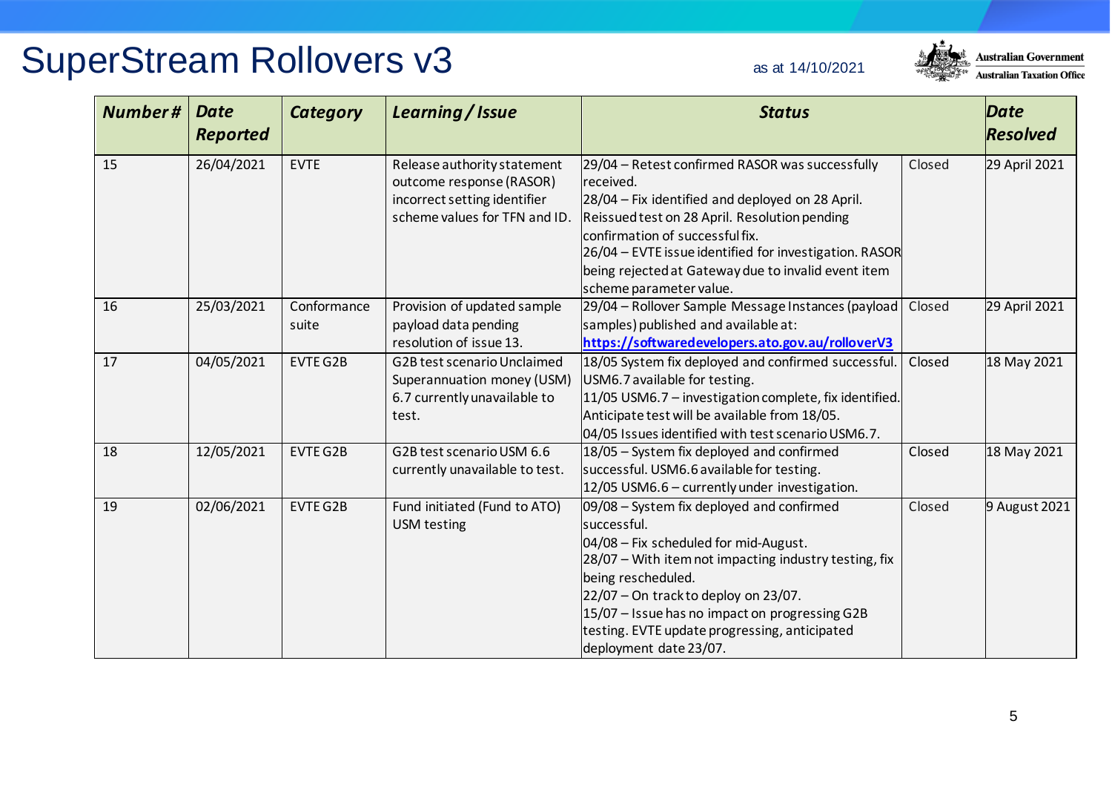#### **Australian Government Australian Taxation Office**

| <b>Number#</b> | <b>Date</b><br><b>Reported</b> | <b>Category</b>      | Learning / Issue                                                                                                         | <b>Status</b>                                                                                                                                                                                                                                                                                                                                    |        | <b>Date</b><br><b>Resolved</b> |
|----------------|--------------------------------|----------------------|--------------------------------------------------------------------------------------------------------------------------|--------------------------------------------------------------------------------------------------------------------------------------------------------------------------------------------------------------------------------------------------------------------------------------------------------------------------------------------------|--------|--------------------------------|
| 15             | 26/04/2021                     | <b>EVTE</b>          | Release authority statement<br>outcome response (RASOR)<br>incorrect setting identifier<br>scheme values for TFN and ID. | 29/04 - Retest confirmed RASOR was successfully<br>received.<br>28/04 - Fix identified and deployed on 28 April.<br>Reissued test on 28 April. Resolution pending<br>confirmation of successful fix.<br>26/04 - EVTE issue identified for investigation. RASOR<br>being rejected at Gateway due to invalid event item<br>scheme parameter value. | Closed | 29 April 2021                  |
| 16             | 25/03/2021                     | Conformance<br>suite | Provision of updated sample<br>payload data pending<br>resolution of issue 13.                                           | 29/04 - Rollover Sample Message Instances (payload<br>samples) published and available at:<br>https://softwaredevelopers.ato.gov.au/rolloverV3                                                                                                                                                                                                   | Closed | 29 April 2021                  |
| 17             | 04/05/2021                     | <b>EVTE G2B</b>      | G2B test scenario Unclaimed<br>Superannuation money (USM)<br>6.7 currently unavailable to<br>test.                       | 18/05 System fix deployed and confirmed successful.<br>USM6.7 available for testing.<br>11/05 USM6.7 - investigation complete, fix identified.<br>Anticipate test will be available from 18/05.<br>04/05 Issues identified with test scenario USM6.7.                                                                                            | Closed | 18 May 2021                    |
| 18             | 12/05/2021                     | <b>EVTE G2B</b>      | G2B test scenario USM 6.6<br>currently unavailable to test.                                                              | 18/05 - System fix deployed and confirmed<br>successful. USM6.6 available for testing.<br>12/05 USM6.6 - currently under investigation.                                                                                                                                                                                                          | Closed | 18 May 2021                    |
| 19             | 02/06/2021                     | EVTE G2B             | Fund initiated (Fund to ATO)<br><b>USM testing</b>                                                                       | 09/08 - System fix deployed and confirmed<br>Closed<br>successful.<br>04/08 - Fix scheduled for mid-August.<br>28/07 - With item not impacting industry testing, fix<br>being rescheduled.<br>$22/07$ – On track to deploy on 23/07.<br>15/07 - Issue has no impact on progressing G2B<br>testing. EVTE update progressing, anticipated          |        | 9 August 2021                  |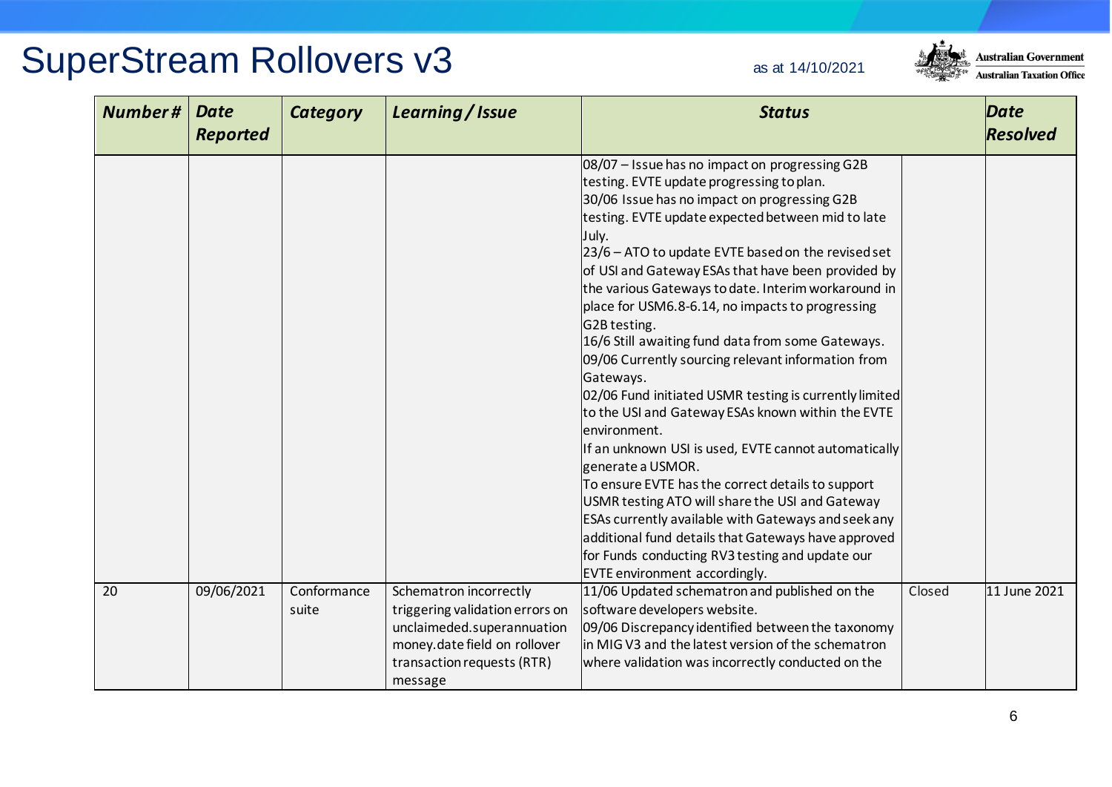

| <b>Number#</b> | <b>Date</b><br><b>Reported</b> | <b>Category</b>      | Learning / Issue                                                                                                                                                 | <b>Status</b>                                                                                                                                                                                                                                                                                                                                                                                                                                                                                                                                                                                                                                                                                                                                                                                                                                                                                                                                                                                                                                                                                  |        | <b>Date</b><br><b>Resolved</b> |
|----------------|--------------------------------|----------------------|------------------------------------------------------------------------------------------------------------------------------------------------------------------|------------------------------------------------------------------------------------------------------------------------------------------------------------------------------------------------------------------------------------------------------------------------------------------------------------------------------------------------------------------------------------------------------------------------------------------------------------------------------------------------------------------------------------------------------------------------------------------------------------------------------------------------------------------------------------------------------------------------------------------------------------------------------------------------------------------------------------------------------------------------------------------------------------------------------------------------------------------------------------------------------------------------------------------------------------------------------------------------|--------|--------------------------------|
|                |                                |                      |                                                                                                                                                                  | 08/07 - Issue has no impact on progressing G2B<br>testing. EVTE update progressing to plan.<br>30/06 Issue has no impact on progressing G2B<br>testing. EVTE update expected between mid to late<br>July.<br>23/6 - ATO to update EVTE based on the revised set<br>of USI and Gateway ESAs that have been provided by<br>the various Gateways to date. Interim workaround in<br>place for USM6.8-6.14, no impacts to progressing<br>G2B testing.<br>16/6 Still awaiting fund data from some Gateways.<br>09/06 Currently sourcing relevant information from<br>Gateways.<br>02/06 Fund initiated USMR testing is currently limited<br>to the USI and Gateway ESAs known within the EVTE<br>environment.<br>If an unknown USI is used, EVTE cannot automatically<br>generate a USMOR.<br>To ensure EVTE has the correct details to support<br>USMR testing ATO will share the USI and Gateway<br>ESAs currently available with Gateways and seek any<br>additional fund details that Gateways have approved<br>for Funds conducting RV3 testing and update our<br>EVTE environment accordingly. |        |                                |
| 20             | 09/06/2021                     | Conformance<br>suite | Schematron incorrectly<br>triggering validation errors on<br>unclaimeded.superannuation<br>money.date field on rollover<br>transaction requests (RTR)<br>message | 11/06 Updated schematron and published on the<br>software developers website.<br>09/06 Discrepancy identified between the taxonomy<br>in MIG V3 and the latest version of the schematron<br>where validation was incorrectly conducted on the                                                                                                                                                                                                                                                                                                                                                                                                                                                                                                                                                                                                                                                                                                                                                                                                                                                  | Closed | 11 June 2021                   |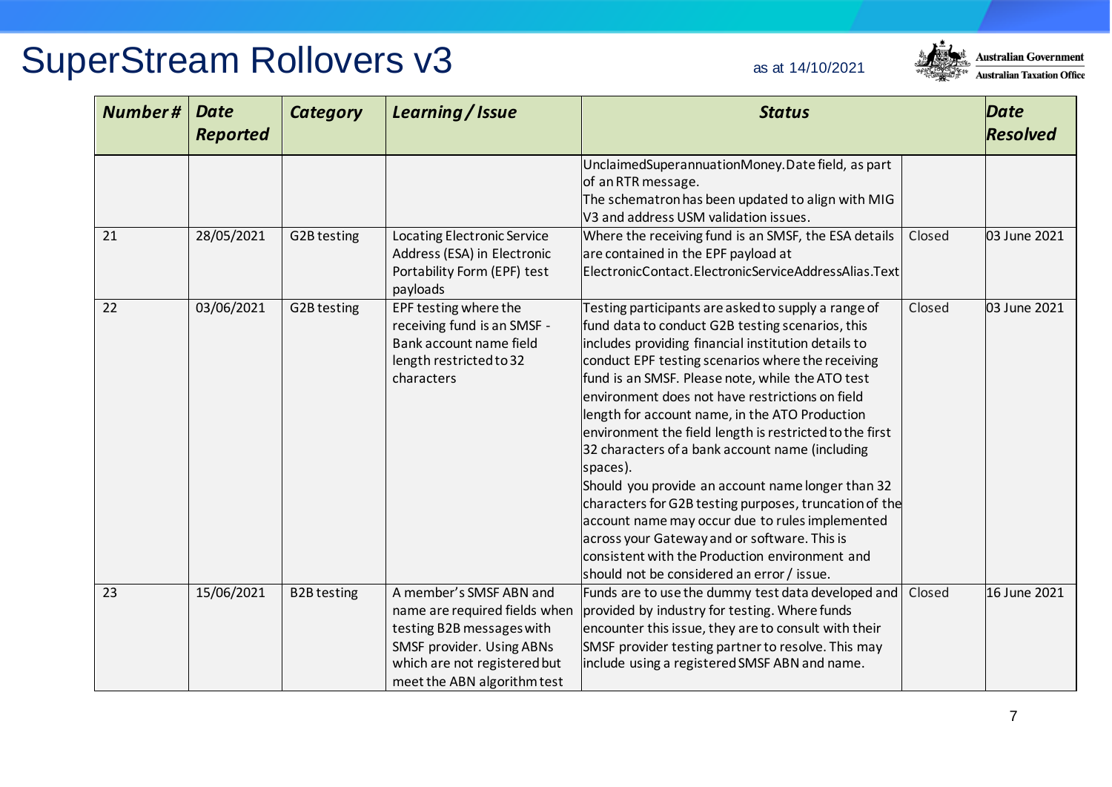

| <b>Number#</b> | <b>Date</b><br><b>Reported</b> | <b>Category</b>    | Learning / Issue                                                                                                                                                                  | <b>Status</b>                                                                                                                                                                                                                                                                                                                                                                                                                                                                                                                                                                                                                                                                                                                                                                                                            |        | <b>Date</b><br><b>Resolved</b> |
|----------------|--------------------------------|--------------------|-----------------------------------------------------------------------------------------------------------------------------------------------------------------------------------|--------------------------------------------------------------------------------------------------------------------------------------------------------------------------------------------------------------------------------------------------------------------------------------------------------------------------------------------------------------------------------------------------------------------------------------------------------------------------------------------------------------------------------------------------------------------------------------------------------------------------------------------------------------------------------------------------------------------------------------------------------------------------------------------------------------------------|--------|--------------------------------|
|                |                                |                    |                                                                                                                                                                                   | UnclaimedSuperannuationMoney.Date field, as part<br>of an RTR message.<br>The schematron has been updated to align with MIG<br>V3 and address USM validation issues.                                                                                                                                                                                                                                                                                                                                                                                                                                                                                                                                                                                                                                                     |        |                                |
| 21             | 28/05/2021                     | G2B testing        | <b>Locating Electronic Service</b><br>Address (ESA) in Electronic<br>Portability Form (EPF) test<br>payloads                                                                      | Where the receiving fund is an SMSF, the ESA details<br>are contained in the EPF payload at<br>ElectronicContact.ElectronicServiceAddressAlias.Text                                                                                                                                                                                                                                                                                                                                                                                                                                                                                                                                                                                                                                                                      | Closed | 03 June 2021                   |
| 22             | 03/06/2021                     | G2B testing        | EPF testing where the<br>receiving fund is an SMSF -<br>Bank account name field<br>length restricted to 32<br>characters                                                          | Testing participants are asked to supply a range of<br>fund data to conduct G2B testing scenarios, this<br>includes providing financial institution details to<br>conduct EPF testing scenarios where the receiving<br>fund is an SMSF. Please note, while the ATO test<br>environment does not have restrictions on field<br>length for account name, in the ATO Production<br>environment the field length is restricted to the first<br>32 characters of a bank account name (including<br>spaces).<br>Should you provide an account name longer than 32<br>characters for G2B testing purposes, truncation of the<br>account name may occur due to rules implemented<br>across your Gateway and or software. This is<br>consistent with the Production environment and<br>should not be considered an error / issue. | Closed | 03 June 2021                   |
| 23             | 15/06/2021                     | <b>B2B</b> testing | A member's SMSF ABN and<br>name are required fields when<br>testing B2B messages with<br>SMSF provider. Using ABNs<br>which are not registered but<br>meet the ABN algorithm test | Funds are to use the dummy test data developed and<br>provided by industry for testing. Where funds<br>encounter this issue, they are to consult with their<br>SMSF provider testing partner to resolve. This may<br>include using a registered SMSF ABN and name.                                                                                                                                                                                                                                                                                                                                                                                                                                                                                                                                                       | Closed | 16 June 2021                   |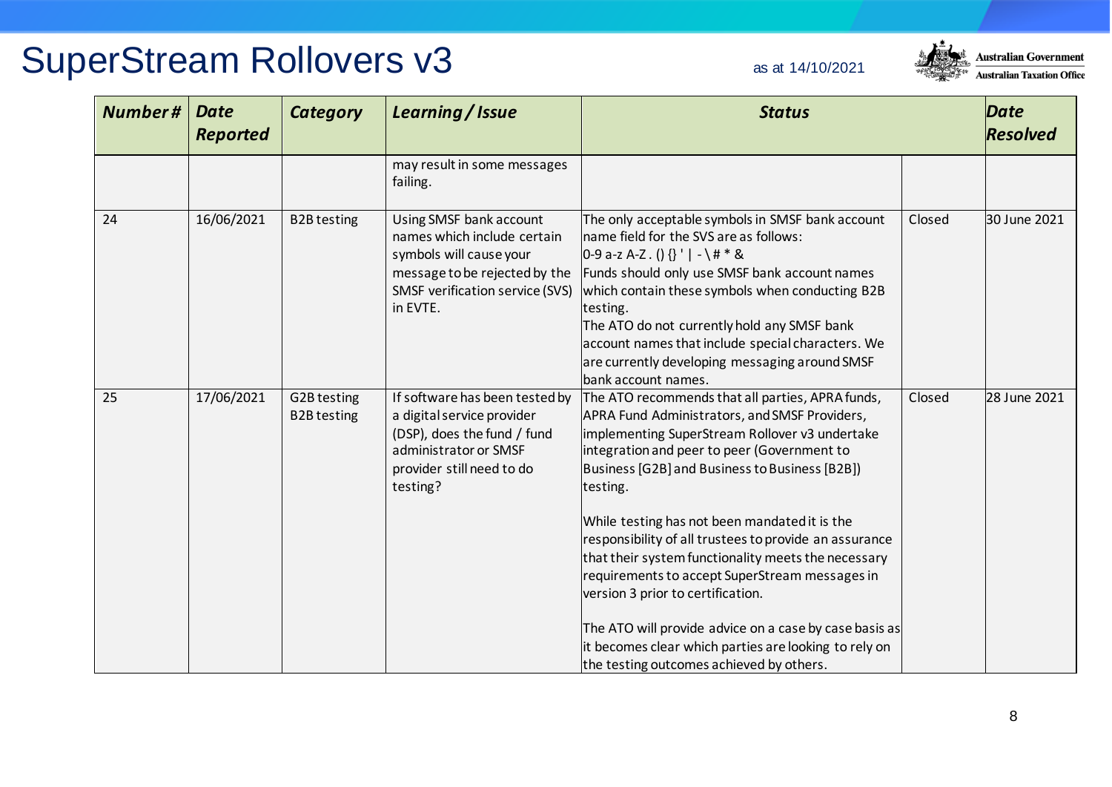

| Number# | <b>Date</b><br><b>Reported</b> | <b>Category</b>                   | Learning / Issue                                                                                                                                                  | <b>Status</b>                                                                                                                                                                                                                                                                                                                                                                                                                                                                                                                                                                                                                                                                            |        | Date<br><b>Resolved</b> |
|---------|--------------------------------|-----------------------------------|-------------------------------------------------------------------------------------------------------------------------------------------------------------------|------------------------------------------------------------------------------------------------------------------------------------------------------------------------------------------------------------------------------------------------------------------------------------------------------------------------------------------------------------------------------------------------------------------------------------------------------------------------------------------------------------------------------------------------------------------------------------------------------------------------------------------------------------------------------------------|--------|-------------------------|
|         |                                |                                   | may result in some messages<br>failing.                                                                                                                           |                                                                                                                                                                                                                                                                                                                                                                                                                                                                                                                                                                                                                                                                                          |        |                         |
| 24      | 16/06/2021                     | <b>B2B</b> testing                | Using SMSF bank account<br>names which include certain<br>symbols will cause your<br>message to be rejected by the<br>SMSF verification service (SVS)<br>in EVTE. | The only acceptable symbols in SMSF bank account<br>name field for the SVS are as follows:<br>$0-9$ a-z A-Z. () {} '   - \ # * &<br>Funds should only use SMSF bank account names<br>which contain these symbols when conducting B2B<br>testing.<br>The ATO do not currently hold any SMSF bank<br>account names that include special characters. We<br>are currently developing messaging around SMSF<br>bank account names.                                                                                                                                                                                                                                                            | Closed | 30 June 2021            |
| 25      | 17/06/2021                     | G2B testing<br><b>B2B</b> testing | If software has been tested by<br>a digital service provider<br>(DSP), does the fund / fund<br>administrator or SMSF<br>provider still need to do<br>testing?     | The ATO recommends that all parties, APRA funds,<br>APRA Fund Administrators, and SMSF Providers,<br>implementing SuperStream Rollover v3 undertake<br>integration and peer to peer (Government to<br>Business [G2B] and Business to Business [B2B])<br>testing.<br>While testing has not been mandated it is the<br>responsibility of all trustees to provide an assurance<br>that their system functionality meets the necessary<br>requirements to accept SuperStream messages in<br>version 3 prior to certification.<br>The ATO will provide advice on a case by case basis as<br>it becomes clear which parties are looking to rely on<br>the testing outcomes achieved by others. | Closed | 28 June 2021            |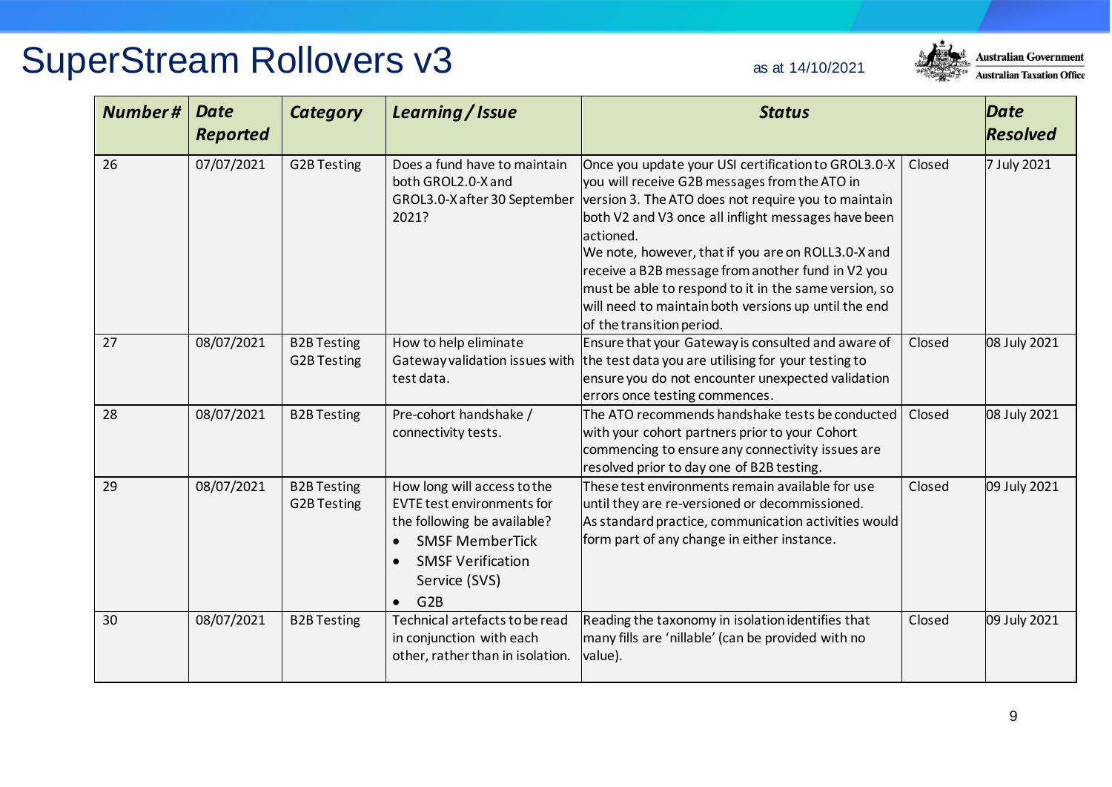#### **Australian Government Australian Taxation Office**

| <b>Number#</b> | <b>Date</b><br><b>Reported</b> | <b>Category</b>                   | Learning / Issue                                                                                                                                                                                        | <b>Status</b>                                                                                                                                                                                                                                                                                                                                                                                                                                                                                                           |        | Date<br><b>Resolved</b> |
|----------------|--------------------------------|-----------------------------------|---------------------------------------------------------------------------------------------------------------------------------------------------------------------------------------------------------|-------------------------------------------------------------------------------------------------------------------------------------------------------------------------------------------------------------------------------------------------------------------------------------------------------------------------------------------------------------------------------------------------------------------------------------------------------------------------------------------------------------------------|--------|-------------------------|
| 26             | 07/07/2021                     | <b>G2B Testing</b>                | Does a fund have to maintain<br>both GROL2.0-X and<br>2021?                                                                                                                                             | Once you update your USI certification to GROL3.0-X<br>you will receive G2B messages from the ATO in<br>GROL3.0-X after 30 September   version 3. The ATO does not require you to maintain<br>both V2 and V3 once all inflight messages have been<br>actioned.<br>We note, however, that if you are on ROLL3.0-X and<br>receive a B2B message from another fund in V2 you<br>must be able to respond to it in the same version, so<br>will need to maintain both versions up until the end<br>of the transition period. | Closed | 7 July 2021             |
| 27             | 08/07/2021                     | <b>B2B Testing</b><br>G2B Testing | How to help eliminate<br>Gateway validation issues with<br>test data.                                                                                                                                   | Ensure that your Gateway is consulted and aware of<br>the test data you are utilising for your testing to<br>ensure you do not encounter unexpected validation<br>errors once testing commences.                                                                                                                                                                                                                                                                                                                        | Closed | 08 July 2021            |
| 28             | 08/07/2021                     | <b>B2B Testing</b>                | Pre-cohort handshake /<br>connectivity tests.                                                                                                                                                           | The ATO recommends handshake tests be conducted<br>with your cohort partners prior to your Cohort<br>commencing to ensure any connectivity issues are<br>resolved prior to day one of B2B testing.                                                                                                                                                                                                                                                                                                                      | Closed | 08 July 2021            |
| 29             | 08/07/2021                     | <b>B2B Testing</b><br>G2B Testing | How long will access to the<br><b>EVTE test environments for</b><br>the following be available?<br><b>SMSF MemberTick</b><br>$\bullet$<br><b>SMSF Verification</b><br>Service (SVS)<br>G2B<br>$\bullet$ | These test environments remain available for use<br>until they are re-versioned or decommissioned.<br>As standard practice, communication activities would<br>form part of any change in either instance.                                                                                                                                                                                                                                                                                                               | Closed | 09 July 2021            |
| 30             | 08/07/2021                     | <b>B2B Testing</b>                | Technical artefacts to be read<br>in conjunction with each<br>other, rather than in isolation.                                                                                                          | Reading the taxonomy in isolation identifies that<br>many fills are 'nillable' (can be provided with no<br>value).                                                                                                                                                                                                                                                                                                                                                                                                      | Closed | 09 July 2021            |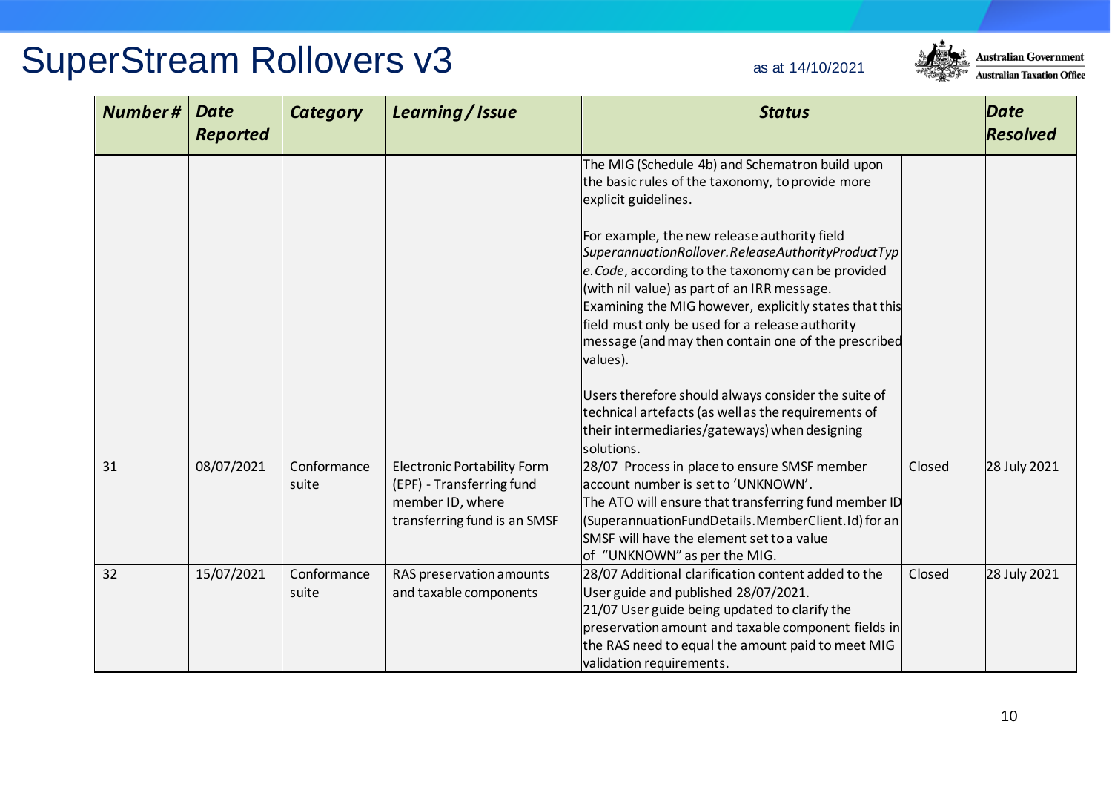

| Number# | <b>Date</b><br><b>Reported</b> | <b>Category</b>      | Learning / Issue                                                                                                    | <b>Status</b>                                                                                                                                                                                                                                                                                                                                                                          |        | Date<br><b>Resolved</b> |
|---------|--------------------------------|----------------------|---------------------------------------------------------------------------------------------------------------------|----------------------------------------------------------------------------------------------------------------------------------------------------------------------------------------------------------------------------------------------------------------------------------------------------------------------------------------------------------------------------------------|--------|-------------------------|
|         |                                |                      |                                                                                                                     | The MIG (Schedule 4b) and Schematron build upon<br>the basic rules of the taxonomy, to provide more<br>explicit guidelines.                                                                                                                                                                                                                                                            |        |                         |
|         |                                |                      |                                                                                                                     | For example, the new release authority field<br>SuperannuationRollover.ReleaseAuthorityProductTyp<br>e. Code, according to the taxonomy can be provided<br>(with nil value) as part of an IRR message.<br>Examining the MIG however, explicitly states that this<br>field must only be used for a release authority<br>message (and may then contain one of the prescribed<br>values). |        |                         |
|         |                                |                      |                                                                                                                     | Users therefore should always consider the suite of<br>technical artefacts (as well as the requirements of<br>their intermediaries/gateways) when designing<br>solutions.                                                                                                                                                                                                              |        |                         |
| 31      | 08/07/2021                     | Conformance<br>suite | <b>Electronic Portability Form</b><br>(EPF) - Transferring fund<br>member ID, where<br>transferring fund is an SMSF | 28/07 Process in place to ensure SMSF member<br>account number is set to 'UNKNOWN'.<br>The ATO will ensure that transferring fund member ID<br>(SuperannuationFundDetails.MemberClient.Id) for an<br>SMSF will have the element set to a value<br>of "UNKNOWN" as per the MIG.                                                                                                         | Closed | 28 July 2021            |
| 32      | 15/07/2021                     | Conformance<br>suite | RAS preservation amounts<br>and taxable components                                                                  | 28/07 Additional clarification content added to the<br>User guide and published 28/07/2021.<br>21/07 User guide being updated to clarify the<br>preservation amount and taxable component fields in<br>the RAS need to equal the amount paid to meet MIG<br>validation requirements.                                                                                                   | Closed | 28 July 2021            |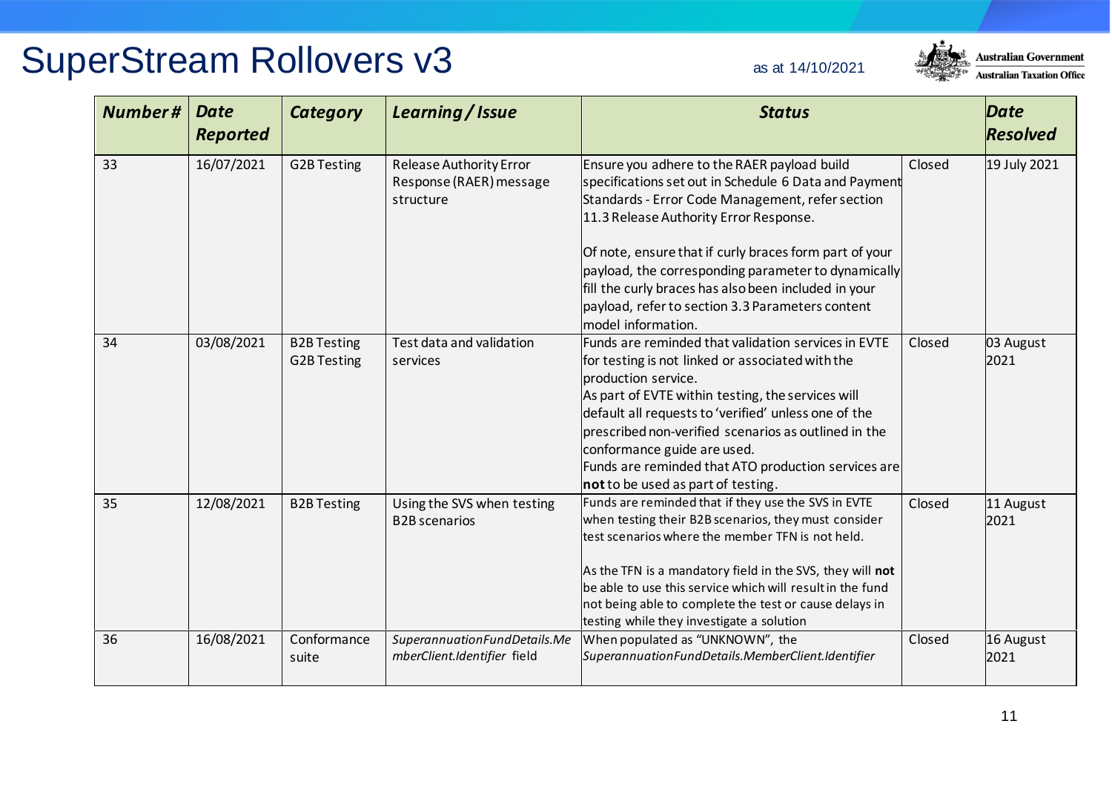

| <b>SuperStream Rollovers v3</b> | as at 14/10/2021 |
|---------------------------------|------------------|
|                                 |                  |

| Number# | <b>Date</b><br><b>Reported</b> | <b>Category</b>                          | Learning / Issue                                                       | <b>Status</b>                                                                                                                                                                                                                                                                                                                                                                                                                                         |        | Date<br><b>Resolved</b> |
|---------|--------------------------------|------------------------------------------|------------------------------------------------------------------------|-------------------------------------------------------------------------------------------------------------------------------------------------------------------------------------------------------------------------------------------------------------------------------------------------------------------------------------------------------------------------------------------------------------------------------------------------------|--------|-------------------------|
| 33      | 16/07/2021                     | <b>G2B Testing</b>                       | <b>Release Authority Error</b><br>Response (RAER) message<br>structure | Ensure you adhere to the RAER payload build<br>specifications set out in Schedule 6 Data and Payment<br>Standards - Error Code Management, refer section<br>11.3 Release Authority Error Response.<br>Of note, ensure that if curly braces form part of your<br>payload, the corresponding parameter to dynamically<br>fill the curly braces has also been included in your<br>payload, refer to section 3.3 Parameters content<br>model information. | Closed | 19 July 2021            |
| 34      | 03/08/2021                     | <b>B2B Testing</b><br><b>G2B Testing</b> | Test data and validation<br>services                                   | Funds are reminded that validation services in EVTE<br>for testing is not linked or associated with the<br>production service.<br>As part of EVTE within testing, the services will<br>default all requests to 'verified' unless one of the<br>prescribed non-verified scenarios as outlined in the<br>conformance guide are used.<br>Funds are reminded that ATO production services are<br>not to be used as part of testing.                       | Closed | 03 August<br>2021       |
| 35      | 12/08/2021                     | <b>B2B Testing</b>                       | Using the SVS when testing<br><b>B2B</b> scenarios                     | Funds are reminded that if they use the SVS in EVTE<br>when testing their B2B scenarios, they must consider<br>test scenarios where the member TFN is not held.<br>As the TFN is a mandatory field in the SVS, they will not<br>be able to use this service which will result in the fund<br>not being able to complete the test or cause delays in<br>testing while they investigate a solution                                                      | Closed | 11 August<br>2021       |
| 36      | 16/08/2021                     | Conformance<br>suite                     | SuperannuationFundDetails.Me<br>mberClient.Identifier field            | When populated as "UNKNOWN", the<br>SuperannuationFundDetails.MemberClient.Identifier                                                                                                                                                                                                                                                                                                                                                                 | Closed | 16 August<br>2021       |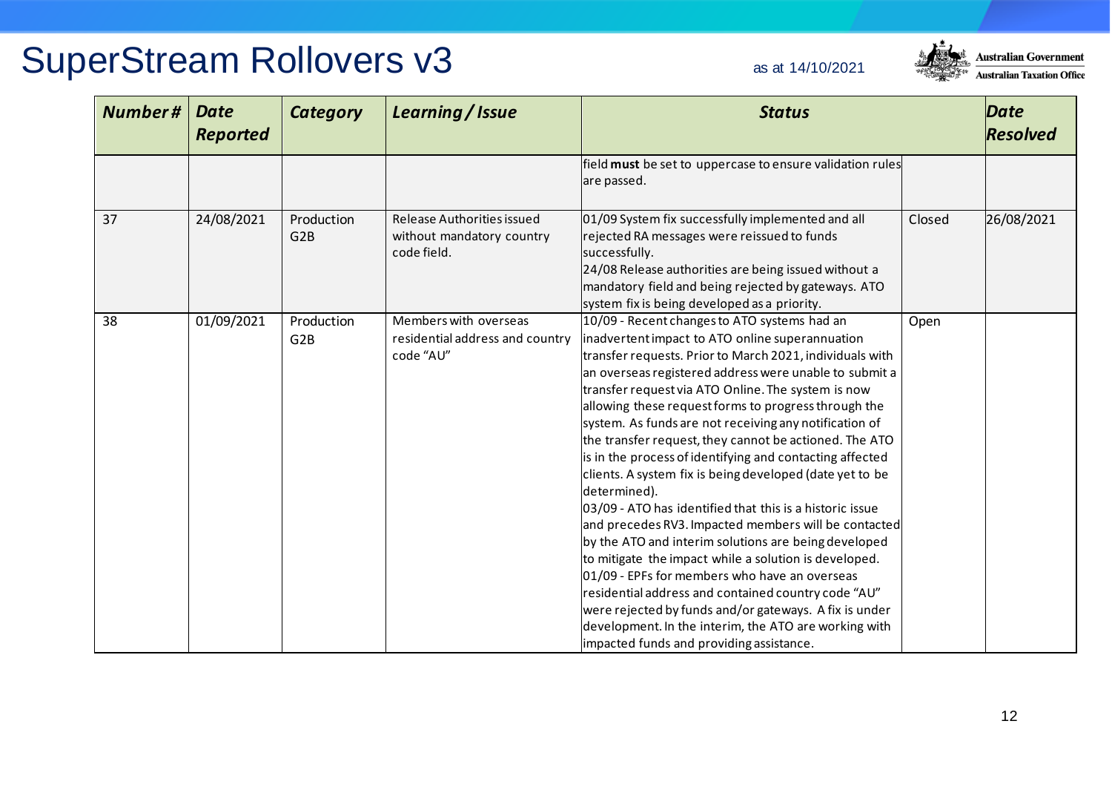

| <b>Number#</b> | <b>Date</b><br><b>Reported</b> | <b>Category</b>                | Learning / Issue                                                       | <b>Status</b>                                                                                                                                                                                                                                                                                                                                                                                                                                                                                                                                                                                                                                                                                                                                                                                                                                                                                                                                                                                                                                                                                               |        | Date<br><b>Resolved</b> |
|----------------|--------------------------------|--------------------------------|------------------------------------------------------------------------|-------------------------------------------------------------------------------------------------------------------------------------------------------------------------------------------------------------------------------------------------------------------------------------------------------------------------------------------------------------------------------------------------------------------------------------------------------------------------------------------------------------------------------------------------------------------------------------------------------------------------------------------------------------------------------------------------------------------------------------------------------------------------------------------------------------------------------------------------------------------------------------------------------------------------------------------------------------------------------------------------------------------------------------------------------------------------------------------------------------|--------|-------------------------|
|                |                                |                                |                                                                        | field must be set to uppercase to ensure validation rules<br>are passed.                                                                                                                                                                                                                                                                                                                                                                                                                                                                                                                                                                                                                                                                                                                                                                                                                                                                                                                                                                                                                                    |        |                         |
| 37             | 24/08/2021                     | Production<br>G2B              | Release Authorities issued<br>without mandatory country<br>code field. | 01/09 System fix successfully implemented and all<br>rejected RA messages were reissued to funds<br>successfully.<br>24/08 Release authorities are being issued without a<br>mandatory field and being rejected by gateways. ATO<br>system fix is being developed as a priority.                                                                                                                                                                                                                                                                                                                                                                                                                                                                                                                                                                                                                                                                                                                                                                                                                            | Closed | 26/08/2021              |
| 38             | 01/09/2021                     | Production<br>G <sub>2</sub> B | Members with overseas<br>residential address and country<br>code "AU"  | 10/09 - Recent changes to ATO systems had an<br>inadvertent impact to ATO online superannuation<br>transfer requests. Prior to March 2021, individuals with<br>an overseas registered address were unable to submit a<br>transfer request via ATO Online. The system is now<br>allowing these request forms to progress through the<br>system. As funds are not receiving any notification of<br>the transfer request, they cannot be actioned. The ATO<br>is in the process of identifying and contacting affected<br>clients. A system fix is being developed (date yet to be<br>determined).<br>03/09 - ATO has identified that this is a historic issue<br>and precedes RV3. Impacted members will be contacted<br>by the ATO and interim solutions are being developed<br>to mitigate the impact while a solution is developed.<br>01/09 - EPFs for members who have an overseas<br>residential address and contained country code "AU"<br>were rejected by funds and/or gateways. A fix is under<br>development. In the interim, the ATO are working with<br>impacted funds and providing assistance. | Open   |                         |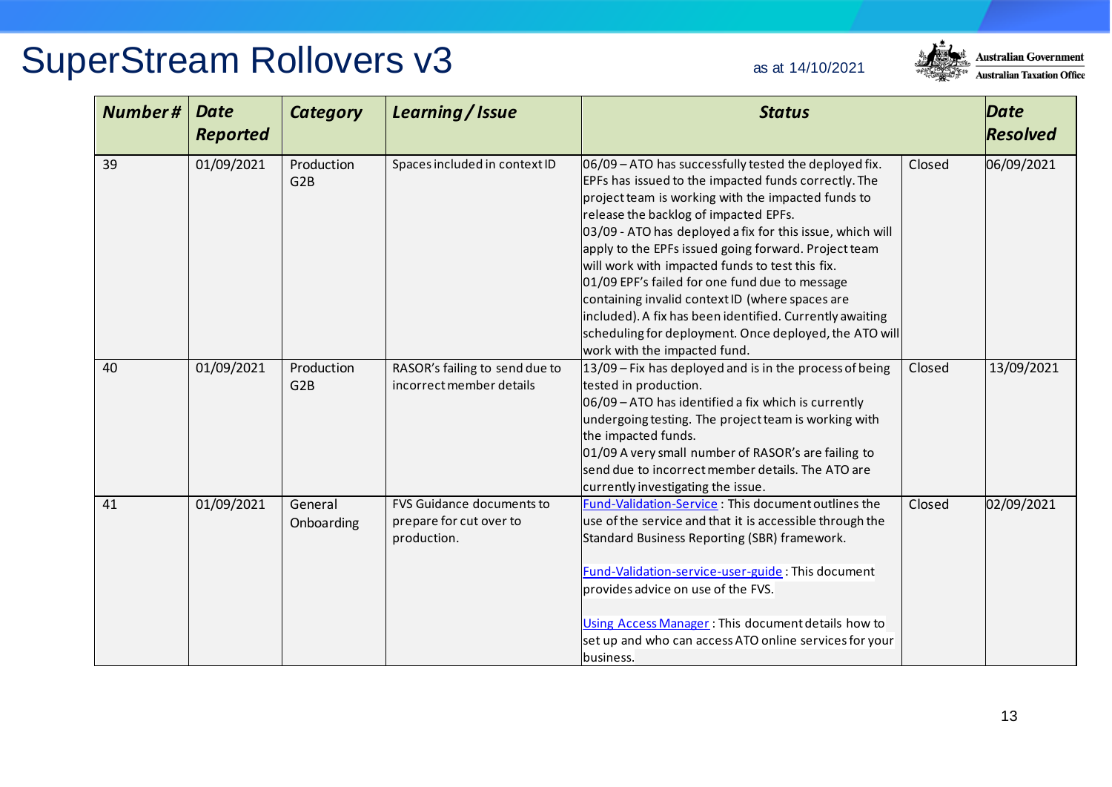

| <b>Number#</b> | <b>Date</b><br><b>Reported</b> | <b>Category</b>                | Learning / Issue                                                           | <b>Status</b>                                                                                                                                                                                                                                                                                                                                                                                                                                                                                                                                                                                                                                   |        | <b>Date</b><br><b>Resolved</b> |
|----------------|--------------------------------|--------------------------------|----------------------------------------------------------------------------|-------------------------------------------------------------------------------------------------------------------------------------------------------------------------------------------------------------------------------------------------------------------------------------------------------------------------------------------------------------------------------------------------------------------------------------------------------------------------------------------------------------------------------------------------------------------------------------------------------------------------------------------------|--------|--------------------------------|
| 39             | 01/09/2021                     | Production<br>G <sub>2B</sub>  | Spaces included in context ID                                              | 06/09 - ATO has successfully tested the deployed fix.<br>EPFs has issued to the impacted funds correctly. The<br>project team is working with the impacted funds to<br>release the backlog of impacted EPFs.<br>03/09 - ATO has deployed a fix for this issue, which will<br>apply to the EPFs issued going forward. Project team<br>will work with impacted funds to test this fix.<br>01/09 EPF's failed for one fund due to message<br>containing invalid context ID (where spaces are<br>included). A fix has been identified. Currently awaiting<br>scheduling for deployment. Once deployed, the ATO will<br>work with the impacted fund. | Closed | 06/09/2021                     |
| 40             | 01/09/2021                     | Production<br>G <sub>2</sub> B | RASOR's failing to send due to<br>incorrect member details                 | 13/09 - Fix has deployed and is in the process of being<br>tested in production.<br>06/09 - ATO has identified a fix which is currently<br>undergoing testing. The project team is working with<br>the impacted funds.<br>01/09 A very small number of RASOR's are failing to<br>send due to incorrect member details. The ATO are<br>currently investigating the issue.                                                                                                                                                                                                                                                                        | Closed | 13/09/2021                     |
| 41             | 01/09/2021                     | General<br>Onboarding          | <b>FVS Guidance documents to</b><br>prepare for cut over to<br>production. | Fund-Validation-Service: This document outlines the<br>use of the service and that it is accessible through the<br>Standard Business Reporting (SBR) framework.<br>Fund-Validation-service-user-guide: This document<br>provides advice on use of the FVS.<br>Using Access Manager: This document details how to<br>set up and who can access ATO online services for your<br>business.                                                                                                                                                                                                                                                         | Closed | 02/09/2021                     |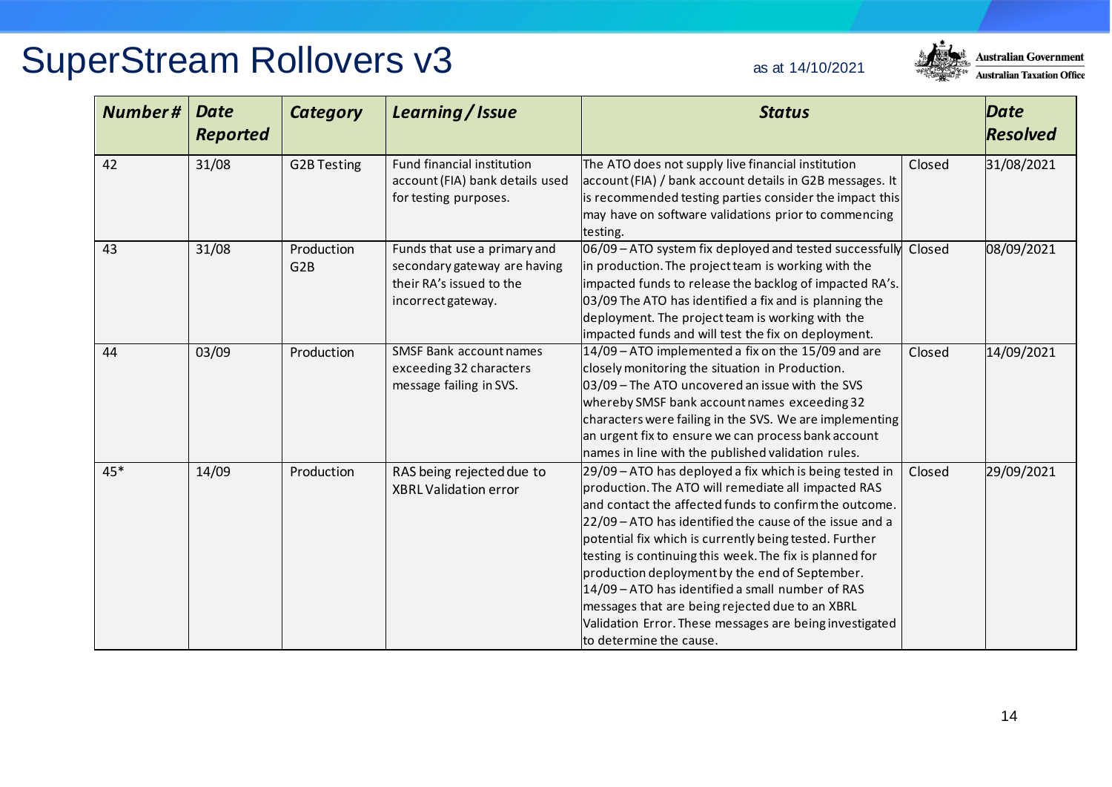

| <b>Number#</b> | <b>Date</b><br><b>Reported</b> | <b>Category</b>               | Learning / Issue                                                                                               | <b>Status</b>                                                                                                                                                                                                                                                                                                                                                                                                                                                                                                                                                                                           |        | <b>Date</b><br><b>Resolved</b> |
|----------------|--------------------------------|-------------------------------|----------------------------------------------------------------------------------------------------------------|---------------------------------------------------------------------------------------------------------------------------------------------------------------------------------------------------------------------------------------------------------------------------------------------------------------------------------------------------------------------------------------------------------------------------------------------------------------------------------------------------------------------------------------------------------------------------------------------------------|--------|--------------------------------|
| 42             | 31/08                          | <b>G2B Testing</b>            | Fund financial institution<br>account (FIA) bank details used<br>for testing purposes.                         | The ATO does not supply live financial institution<br>account (FIA) / bank account details in G2B messages. It<br>is recommended testing parties consider the impact this<br>may have on software validations prior to commencing<br>testing.                                                                                                                                                                                                                                                                                                                                                           | Closed | 31/08/2021                     |
| 43             | 31/08                          | Production<br>G <sub>2B</sub> | Funds that use a primary and<br>secondary gateway are having<br>their RA's issued to the<br>incorrect gateway. | 06/09 - ATO system fix deployed and tested successfully<br>in production. The project team is working with the<br>impacted funds to release the backlog of impacted RA's.<br>03/09 The ATO has identified a fix and is planning the<br>deployment. The project team is working with the<br>impacted funds and will test the fix on deployment.                                                                                                                                                                                                                                                          | Closed | 08/09/2021                     |
| 44             | 03/09                          | Production                    | SMSF Bank account names<br>exceeding 32 characters<br>message failing in SVS.                                  | 14/09 - ATO implemented a fix on the 15/09 and are<br>closely monitoring the situation in Production.<br>03/09 - The ATO uncovered an issue with the SVS<br>whereby SMSF bank account names exceeding 32<br>characters were failing in the SVS. We are implementing<br>an urgent fix to ensure we can process bank account<br>names in line with the published validation rules.                                                                                                                                                                                                                        | Closed | 14/09/2021                     |
| 45*            | 14/09                          | Production                    | RAS being rejected due to<br><b>XBRL Validation error</b>                                                      | 29/09 – ATO has deployed a fix which is being tested in<br>production. The ATO will remediate all impacted RAS<br>and contact the affected funds to confirm the outcome.<br>22/09 - ATO has identified the cause of the issue and a<br>potential fix which is currently being tested. Further<br>testing is continuing this week. The fix is planned for<br>production deployment by the end of September.<br>14/09 - ATO has identified a small number of RAS<br>messages that are being rejected due to an XBRL<br>Validation Error. These messages are being investigated<br>to determine the cause. | Closed | 29/09/2021                     |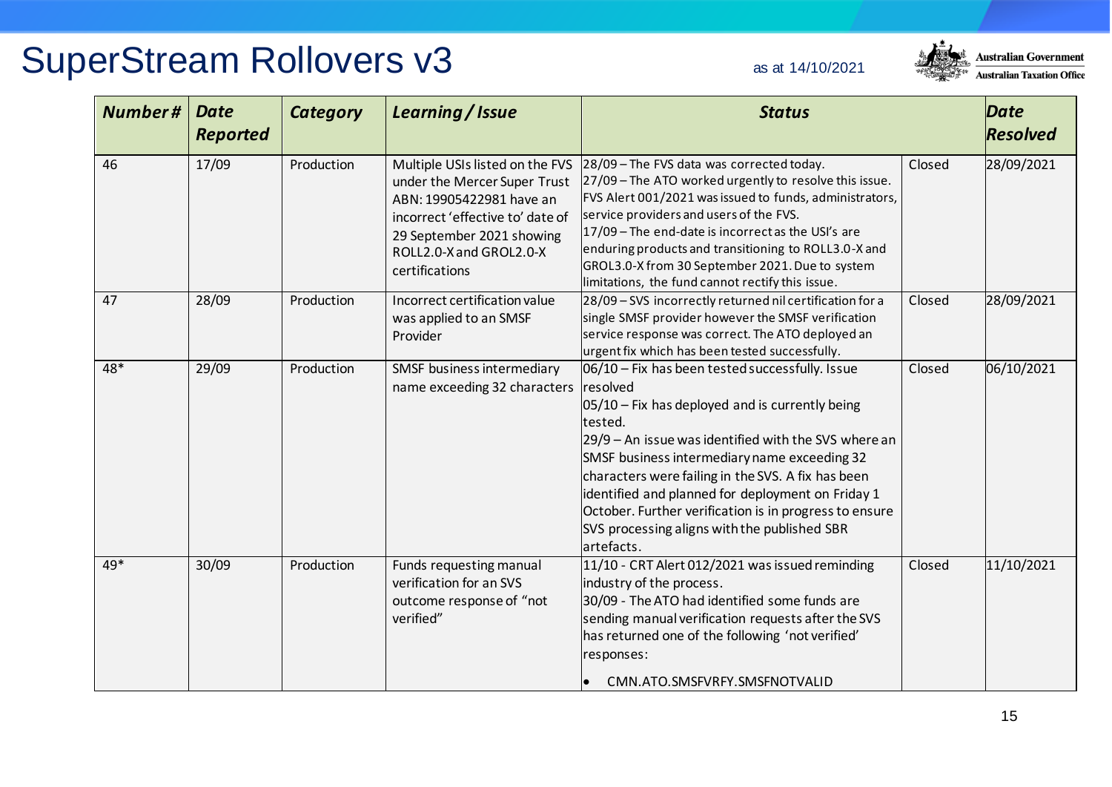

| Number# | <b>Date</b><br><b>Reported</b> | <b>Category</b> | Learning / Issue                                                                                                                                                                                          | <b>Status</b>                                                                                                                                                                                                                                                                                                                                                                                                                                              |        | Date<br><b>Resolved</b> |
|---------|--------------------------------|-----------------|-----------------------------------------------------------------------------------------------------------------------------------------------------------------------------------------------------------|------------------------------------------------------------------------------------------------------------------------------------------------------------------------------------------------------------------------------------------------------------------------------------------------------------------------------------------------------------------------------------------------------------------------------------------------------------|--------|-------------------------|
| 46      | 17/09                          | Production      | Multiple USIs listed on the FVS<br>under the Mercer Super Trust<br>ABN: 19905422981 have an<br>incorrect 'effective to' date of<br>29 September 2021 showing<br>ROLL2.0-X and GROL2.0-X<br>certifications | 28/09 - The FVS data was corrected today.<br>27/09 - The ATO worked urgently to resolve this issue.<br>FVS Alert 001/2021 was issued to funds, administrators,<br>service providers and users of the FVS.<br>17/09 - The end-date is incorrect as the USI's are<br>enduring products and transitioning to ROLL3.0-X and<br>GROL3.0-X from 30 September 2021. Due to system<br>limitations, the fund cannot rectify this issue.                             | Closed | 28/09/2021              |
| 47      | 28/09                          | Production      | Incorrect certification value<br>was applied to an SMSF<br>Provider                                                                                                                                       | 28/09 - SVS incorrectly returned nil certification for a<br>single SMSF provider however the SMSF verification<br>service response was correct. The ATO deployed an<br>urgent fix which has been tested successfully.                                                                                                                                                                                                                                      | Closed | 28/09/2021              |
| 48*     | 29/09                          | Production      | SMSF business intermediary<br>name exceeding 32 characters resolved                                                                                                                                       | 06/10 - Fix has been tested successfully. Issue<br>$05/10$ – Fix has deployed and is currently being<br>tested.<br>29/9 - An issue was identified with the SVS where an<br>SMSF business intermediary name exceeding 32<br>characters were failing in the SVS. A fix has been<br>identified and planned for deployment on Friday 1<br>October. Further verification is in progress to ensure<br>SVS processing aligns with the published SBR<br>artefacts. | Closed | 06/10/2021              |
| 49*     | 30/09                          | Production      | Funds requesting manual<br>verification for an SVS<br>outcome response of "not<br>verified"                                                                                                               | 11/10 - CRT Alert 012/2021 was issued reminding<br>industry of the process.<br>30/09 - The ATO had identified some funds are<br>sending manual verification requests after the SVS<br>has returned one of the following 'not verified'<br>responses:<br>CMN.ATO.SMSFVRFY.SMSFNOTVALID                                                                                                                                                                      | Closed | 11/10/2021              |